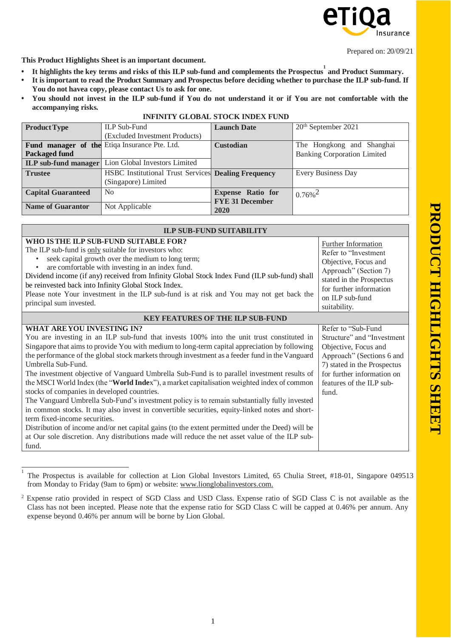

**This Product Highlights Sheet is an important document.**

- It highlights the key terms and risks of this ILP sub-fund and complements the Prospectus 1 and Product Summary.
- It is important to read the Product Summary and Prospectus before deciding whether to purchase the ILP sub-fund. If **You do not havea copy, please contact Us to ask for one.**
- You should not invest in the ILP sub-fund if You do not understand it or if You are not comfortable with the **accompanying risks. INFINITY GLOBAL STOCK INDEX FUND**

| <b>Product Type</b>       | <b>ILP Sub-Fund</b>                                               | <b>Launch Date</b>       | $20th$ September 2021              |  |
|---------------------------|-------------------------------------------------------------------|--------------------------|------------------------------------|--|
|                           | (Excluded Investment Products)                                    |                          |                                    |  |
|                           | Fund manager of the Etiqa Insurance Pte. Ltd.                     | <b>Custodian</b>         | The Hongkong and Shanghai          |  |
| <b>Packaged fund</b>      |                                                                   |                          | <b>Banking Corporation Limited</b> |  |
|                           | <b>ILP</b> sub-fund manager Lion Global Investors Limited         |                          |                                    |  |
| <b>Trustee</b>            | <b>HSBC</b> Institutional Trust Services <b>Dealing Frequency</b> |                          | <b>Every Business Day</b>          |  |
|                           | (Singapore) Limited                                               |                          |                                    |  |
| <b>Capital Guaranteed</b> | <b>No</b>                                                         | <b>Expense Ratio for</b> | $0.76\%$ <sup>2</sup>              |  |
|                           |                                                                   | <b>FYE 31 December</b>   |                                    |  |
| <b>Name of Guarantor</b>  | Not Applicable                                                    | 2020                     |                                    |  |

| <b>ILP SUB-FUND SUITABILITY</b>                                                                                                                                                                                                                                                                                                                                                                                                                                                                                                                                                                                                                                                                                                                                                                                                                                                                                                                                                                                                                        |                                                                                                                                                                                                           |  |  |  |
|--------------------------------------------------------------------------------------------------------------------------------------------------------------------------------------------------------------------------------------------------------------------------------------------------------------------------------------------------------------------------------------------------------------------------------------------------------------------------------------------------------------------------------------------------------------------------------------------------------------------------------------------------------------------------------------------------------------------------------------------------------------------------------------------------------------------------------------------------------------------------------------------------------------------------------------------------------------------------------------------------------------------------------------------------------|-----------------------------------------------------------------------------------------------------------------------------------------------------------------------------------------------------------|--|--|--|
| WHO IS THE ILP SUB-FUND SUITABLE FOR?<br>The ILP sub-fund is only suitable for investors who:<br>seek capital growth over the medium to long term;<br>are comfortable with investing in an index fund.<br>Dividend income (if any) received from Infinity Global Stock Index Fund (ILP sub-fund) shall<br>be reinvested back into Infinity Global Stock Index.<br>Please note Your investment in the ILP sub-fund is at risk and You may not get back the<br>principal sum invested.                                                                                                                                                                                                                                                                                                                                                                                                                                                                                                                                                                   | <b>Further Information</b><br>Refer to "Investment"<br>Objective, Focus and<br>Approach" (Section 7)<br>stated in the Prospectus<br>for further information<br>on ILP sub-fund<br>suitability.            |  |  |  |
| <b>KEY FEATURES OF THE ILP SUB-FUND</b>                                                                                                                                                                                                                                                                                                                                                                                                                                                                                                                                                                                                                                                                                                                                                                                                                                                                                                                                                                                                                |                                                                                                                                                                                                           |  |  |  |
| <b>WHAT ARE YOU INVESTING IN?</b><br>You are investing in an ILP sub-fund that invests 100% into the unit trust constituted in<br>Singapore that aims to provide You with medium to long-term capital appreciation by following<br>the performance of the global stock markets through investment as a feeder fund in the Vanguard<br>Umbrella Sub-Fund.<br>The investment objective of Vanguard Umbrella Sub-Fund is to parallel investment results of<br>the MSCI World Index (the "World Index"), a market capitalisation weighted index of common<br>stocks of companies in developed countries.<br>The Vanguard Umbrella Sub-Fund's investment policy is to remain substantially fully invested<br>in common stocks. It may also invest in convertible securities, equity-linked notes and short-<br>term fixed-income securities.<br>Distribution of income and/or net capital gains (to the extent permitted under the Deed) will be<br>at Our sole discretion. Any distributions made will reduce the net asset value of the ILP sub-<br>fund. | Refer to "Sub-Fund"<br>Structure" and "Investment"<br>Objective, Focus and<br>Approach" (Sections 6 and<br>7) stated in the Prospectus<br>for further information on<br>features of the ILP sub-<br>fund. |  |  |  |

<sup>1</sup> The Prospectus is available for collection at Lion Global Investors Limited, 65 Chulia Street, #18-01, Singapore 049513 from Monday to Friday (9am to 6pm) or website: [www.lionglobalinvestors.com.](http://www.lionglobalinvestors.com/)

<sup>2</sup> Expense ratio provided in respect of SGD Class and USD Class. Expense ratio of SGD Class C is not available as the Class has not been incepted. Please note that the expense ratio for SGD Class C will be capped at 0.46% per annum. Any expense beyond 0.46% per annum will be borne by Lion Global.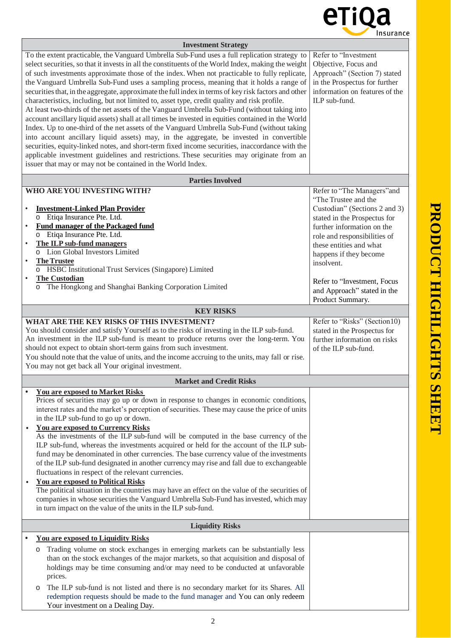

## **Investment Strategy** To the extent practicable, the Vanguard Umbrella Sub-Fund uses a full replication strategy to select securities, so that it invests in all the constituents of the World Index, making the weight of such investments approximate those of the index. When not practicable to fully replicate, the Vanguard Umbrella Sub-Fund uses a sampling process, meaning that it holds a range of securitiesthat, in the aggregate, approximate the full index in terms of key risk factors and other characteristics, including, but not limited to, asset type, credit quality and risk profile. At least two-thirds of the net assets of the Vanguard Umbrella Sub-Fund (without taking into account ancillary liquid assets) shall at all times be invested in equities contained in the World Index. Up to one-third of the net assets of the Vanguard Umbrella Sub-Fund (without taking into account ancillary liquid assets) may, in the aggregate, be invested in convertible securities, equity-linked notes, and short-term fixed income securities, inaccordance with the applicable investment guidelines and restrictions. These securities may originate from an issuer that may or may not be contained in the World Index. Refer to "Investment Objective, Focus and Approach" (Section 7) stated in the Prospectus for further information on features of the ILP sub-fund. **Parties Involved WHO AREYOU INVESTINGWITH?** • **Investment-Linked Plan Provider** o Etiqa Insurance Pte. Ltd. • **Fund manager of the Packaged fund** o Etiqa Insurance Pte. Ltd. • **The ILP sub-fund managers** o Lion Global Investors Limited • **TheTrustee** o HSBC Institutional Trust Services (Singapore) Limited • **The Custodian** o The Hongkong and Shanghai Banking Corporation Limited Refer to "The Managers"and "The Trustee and the Custodian" (Sections 2 and 3) stated in the Prospectus for further information on the role and responsibilities of these entities and what happens if they become insolvent. Refer to "Investment, Focus and Approach" stated in the Product Summary. **KEY RISKS WHAT ARETHE KEY RISKS OFTHIS INVESTMENT?** You should consider and satisfy Yourself as to the risks of investing in the ILP sub-fund. An investment in the ILP sub-fund is meant to produce returns over the long-term. You should not expect to obtain short-term gains from such investment. You should note that the value of units, and the income accruing to the units, may fall or rise. You may not get back all Your original investment. Refer to "Risks" (Section10) stated in the Prospectus for further information on risks of the ILP sub-fund. **Market and Credit Risks • You are exposed to Market Risks**  Prices of securities may go up or down in response to changes in economic conditions, interest rates and the market's perception of securities. These may cause the price of units in the ILP sub-fund to go up or down. • **You are exposed to Currency Risks** As the investments of the ILP sub-fund will be computed in the base currency of the ILP sub-fund, whereas the investments acquired or held for the account of the ILP subfund may be denominated in other currencies. The base currency value of the investments of the ILP sub-fund designated in another currency may rise and fall due to exchangeable fluctuations in respect of the relevant currencies. • **You are exposed to Political Risks** The political situation in the countries may have an effect on the value of the securities of companies in whose securities the Vanguard Umbrella Sub-Fund hasinvested, which may in turn impact on the value of the units in the ILP sub-fund. **Liquidity Risks • You are exposed to Liquidity Risks** o Trading volume on stock exchanges in emerging markets can be substantially less than on the stock exchanges of the major markets, so that acquisition and disposal of holdings may be time consuming and/or may need to be conducted at unfavorable prices. o The ILP sub-fund is not listed and there is no secondary market for its Shares. All redemption requests should be made to the fund manager and You can only redeem Your investment on a Dealing Day.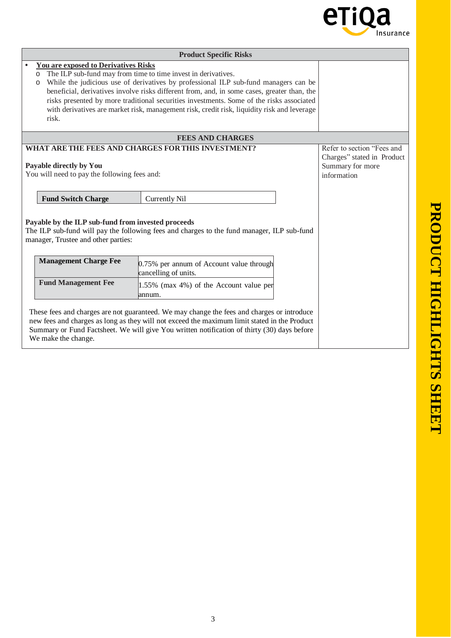

| <b>Product Specific Risks</b>                                                                                                                                                                                                                                                                                                                                                                                                                                                                                    |                                                                                                                                                                                                                                                                                           |                                                                                             |  |  |
|------------------------------------------------------------------------------------------------------------------------------------------------------------------------------------------------------------------------------------------------------------------------------------------------------------------------------------------------------------------------------------------------------------------------------------------------------------------------------------------------------------------|-------------------------------------------------------------------------------------------------------------------------------------------------------------------------------------------------------------------------------------------------------------------------------------------|---------------------------------------------------------------------------------------------|--|--|
| <b>You are exposed to Derivatives Risks</b><br>The ILP sub-fund may from time to time invest in derivatives.<br>O<br>While the judicious use of derivatives by professional ILP sub-fund managers can be<br>о<br>beneficial, derivatives involve risks different from, and, in some cases, greater than, the<br>risks presented by more traditional securities investments. Some of the risks associated<br>with derivatives are market risk, management risk, credit risk, liquidity risk and leverage<br>risk. |                                                                                                                                                                                                                                                                                           |                                                                                             |  |  |
| <b>FEES AND CHARGES</b>                                                                                                                                                                                                                                                                                                                                                                                                                                                                                          |                                                                                                                                                                                                                                                                                           |                                                                                             |  |  |
| WHAT ARE THE FEES AND CHARGES FOR THIS INVESTMENT?<br>Payable directly by You<br>You will need to pay the following fees and:                                                                                                                                                                                                                                                                                                                                                                                    |                                                                                                                                                                                                                                                                                           | Refer to section "Fees and<br>Charges" stated in Product<br>Summary for more<br>information |  |  |
| <b>Fund Switch Charge</b>                                                                                                                                                                                                                                                                                                                                                                                                                                                                                        | <b>Currently Nil</b>                                                                                                                                                                                                                                                                      |                                                                                             |  |  |
| Payable by the ILP sub-fund from invested proceeds<br>manager, Trustee and other parties:                                                                                                                                                                                                                                                                                                                                                                                                                        | The ILP sub-fund will pay the following fees and charges to the fund manager, ILP sub-fund                                                                                                                                                                                                |                                                                                             |  |  |
| <b>Management Charge Fee</b>                                                                                                                                                                                                                                                                                                                                                                                                                                                                                     | 0.75% per annum of Account value through<br>cancelling of units.                                                                                                                                                                                                                          |                                                                                             |  |  |
| <b>Fund Management Fee</b>                                                                                                                                                                                                                                                                                                                                                                                                                                                                                       | 1.55% (max 4%) of the Account value per<br>annum.                                                                                                                                                                                                                                         |                                                                                             |  |  |
| We make the change.                                                                                                                                                                                                                                                                                                                                                                                                                                                                                              | These fees and charges are not guaranteed. We may change the fees and charges or introduce<br>new fees and charges as long as they will not exceed the maximum limit stated in the Product<br>Summary or Fund Factsheet. We will give You written notification of thirty (30) days before |                                                                                             |  |  |